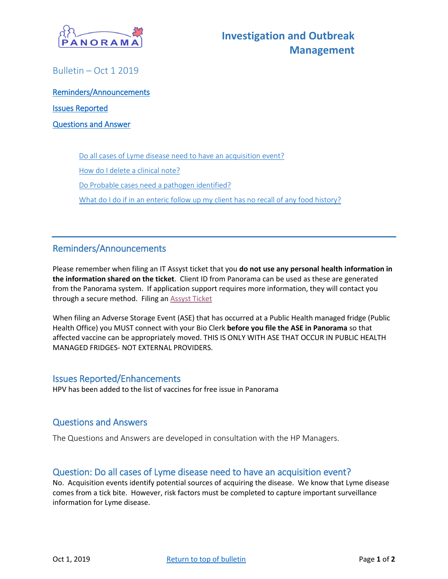

<span id="page-0-0"></span>Bulletin – Oct 1 2019

[Reminders/Announcements](#page-1-0)  [Issues Reported](#page-0-1)  [Questions and Answer](#page-0-2) 

[Do all cases of Lyme disease need to have an acquisition event?](#page-0-3)

[How do I delete a clinical note?](#page-1-0)

Do [Probable cases need a pathogen identified?](#page-1-1)

What do I do if in an enteric follow up my client [has no recall of any food history?](#page-1-2)

## Reminders/Announcements

Please remember when filing an IT Assyst ticket that you **do not use any personal health information in the information shared on the ticket**. Client ID from Panorama can be used as these are generated from the Panorama system. If application support requires more information, they will contact you through a secure method. Filing a[n Assyst Ticket](https://support.novascotia.ca/sites/default/files/PNS-Tips-and-Tricks-Submit-Problems-via-Assyst.pdf)

When filing an Adverse Storage Event (ASE) that has occurred at a Public Health managed fridge (Public Health Office) you MUST connect with your Bio Clerk **before you file the ASE in Panorama** so that affected vaccine can be appropriately moved. THIS IS ONLY WITH ASE THAT OCCUR IN PUBLIC HEALTH MANAGED FRIDGES- NOT EXTERNAL PROVIDERS.

#### <span id="page-0-1"></span>Issues Reported/Enhancements

<span id="page-0-2"></span>HPV has been added to the list of vaccines for free issue in Panorama

### Questions and Answers

The Questions and Answers are developed in consultation with the HP Managers.

#### <span id="page-0-3"></span>Question: Do all cases of Lyme disease need to have an acquisition event?

No. Acquisition events identify potential sources of acquiring the disease. We know that Lyme disease comes from a tick bite. However, risk factors must be completed to capture important surveillance information for Lyme disease.